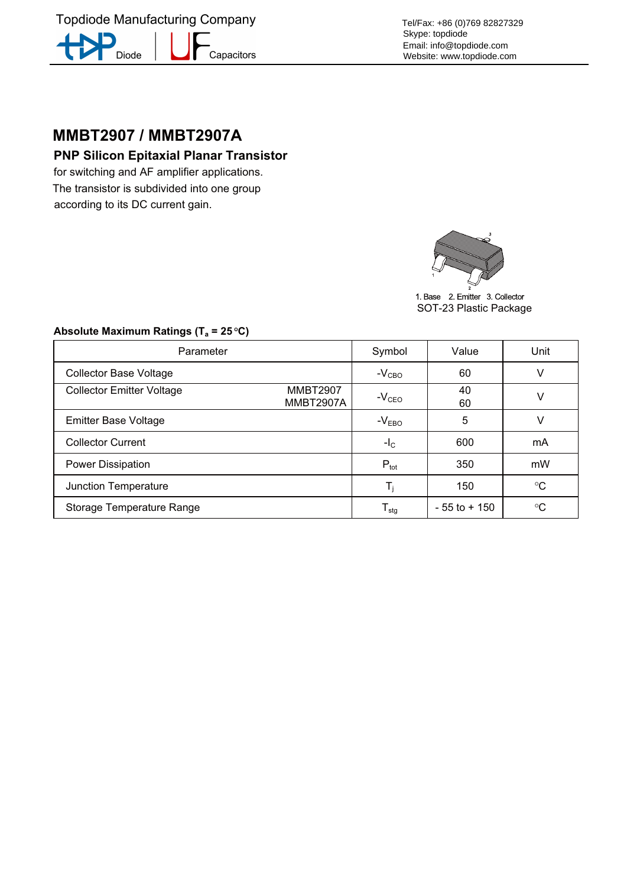**Topdiode Manufacturing Company** -<br>Capacitors Diode

Tel/Fax: +86 (0)769 82827329 Skype: topdiode Email: info@topdiode.com Website: www.topdiode.com

# **MMBT2907 / MMBT2907A**

for switching and AF amplifier applications. The transistor is subdivided into one group according to its DC current gain.



1. Base 2. Emitter 3. Collector SOT-23 Plastic Package

## **Absolute Maximum Ratings (Ta = 25 <sup>O</sup> C)**

| Parameter                        |                              | Symbol                     | Value           | Unit            |
|----------------------------------|------------------------------|----------------------------|-----------------|-----------------|
| <b>Collector Base Voltage</b>    |                              | $-V_{CBO}$                 | 60              | v               |
| <b>Collector Emitter Voltage</b> | <b>MMBT2907</b><br>MMBT2907A | $-VCEO$                    | 40<br>60        | V               |
| <b>Emitter Base Voltage</b>      |                              | $-V_{EBO}$                 | 5               |                 |
| <b>Collector Current</b>         |                              | $-IC$                      | 600             | mA              |
| <b>Power Dissipation</b>         |                              | $P_{\text{tot}}$           | 350             | mW              |
| Junction Temperature             |                              | T,                         | 150             | $^{\circ}C$     |
| Storage Temperature Range        |                              | ${\mathsf T}_{\text{stg}}$ | $-55$ to $+150$ | $\rm ^{\circ}C$ |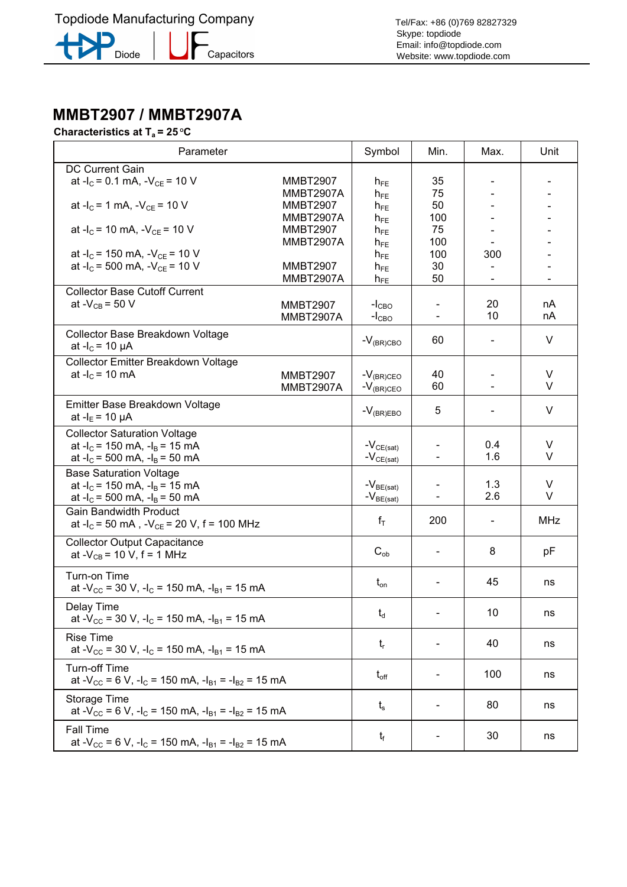### Characteristics at T<sub>2</sub> = 25 °C **Characteristics at Ta = 25 <sup>O</sup> C**

| Parameter                                                                                        |                  | Symbol           | Min.                     | Max.                     | Unit       |
|--------------------------------------------------------------------------------------------------|------------------|------------------|--------------------------|--------------------------|------------|
| <b>DC Current Gain</b>                                                                           |                  |                  |                          |                          |            |
| at $-I_c = 0.1$ mA, $-V_{CE} = 10$ V                                                             | <b>MMBT2907</b>  | $h_{FE}$         | 35                       |                          |            |
|                                                                                                  | MMBT2907A        | $h_{FE}$         | 75                       |                          |            |
| at $-I_C = 1$ mA, $-V_{CF} = 10$ V                                                               | <b>MMBT2907</b>  | $h_{FE}$         | 50                       |                          |            |
|                                                                                                  | MMBT2907A        | $h_{FE}$         | 100                      |                          |            |
| at $-I_c = 10$ mA, $-V_{CE} = 10$ V                                                              | <b>MMBT2907</b>  | $h_{FE}$         | 75                       |                          |            |
|                                                                                                  | MMBT2907A        | $h_{FE}$         | 100                      |                          |            |
| at $-I_c$ = 150 mA, $-V_{CE}$ = 10 V                                                             |                  | $h_{FE}$         | 100                      | 300                      |            |
| at - $I_C$ = 500 mA, - $V_{CE}$ = 10 V                                                           | <b>MMBT2907</b>  | $h_{FE}$         | 30                       |                          |            |
|                                                                                                  | MMBT2907A        | $h_{FE}$         | 50                       | $\overline{\phantom{a}}$ |            |
| <b>Collector Base Cutoff Current</b>                                                             |                  |                  |                          |                          |            |
| at - $V_{CB}$ = 50 V                                                                             | <b>MMBT2907</b>  | $-ICBO$          |                          | 20                       | nA         |
|                                                                                                  | <b>MMBT2907A</b> | $-ICBO$          |                          | 10                       | nA         |
|                                                                                                  |                  |                  |                          |                          |            |
| Collector Base Breakdown Voltage                                                                 |                  | $-V_{(BR)CBO}$   | 60                       |                          | $\vee$     |
| at $-I_c = 10 \mu A$                                                                             |                  |                  |                          |                          |            |
| Collector Emitter Breakdown Voltage                                                              |                  |                  |                          |                          |            |
| at $-I_c = 10$ mA                                                                                | <b>MMBT2907</b>  | $-V_{(BR)CEO}$   | 40                       |                          | V          |
|                                                                                                  | <b>MMBT2907A</b> | $-V_{(BR)CEO}$   | 60                       |                          | $\vee$     |
|                                                                                                  |                  |                  |                          |                          |            |
| Emitter Base Breakdown Voltage                                                                   |                  | $-V_{(BR)EBO}$   | 5                        | $\overline{\phantom{a}}$ | V          |
| at $-I_E = 10 \mu A$                                                                             |                  |                  |                          |                          |            |
| <b>Collector Saturation Voltage</b>                                                              |                  |                  |                          |                          |            |
| at $-I_c$ = 150 mA, $-I_B$ = 15 mA                                                               |                  | $-V_{CE(sat)}$   |                          | 0.4                      | $\vee$     |
| at $-I_c$ = 500 mA, $-I_B$ = 50 mA                                                               |                  | $-V_{CE(sat)}$   |                          | 1.6                      | V          |
| <b>Base Saturation Voltage</b>                                                                   |                  |                  |                          |                          |            |
| at $-I_c$ = 150 mA, $-I_B$ = 15 mA                                                               |                  | $-V_{BE(sat)}$   |                          | 1.3                      | V          |
| at $-I_c$ = 500 mA, $-I_B$ = 50 mA                                                               |                  | $-V_{BE(sat)}$   |                          | 2.6                      | $\vee$     |
| <b>Gain Bandwidth Product</b>                                                                    |                  |                  |                          |                          |            |
| at $-I_c = 50$ mA, $-V_{CE} = 20$ V, f = 100 MHz                                                 |                  | $f_T$            | 200                      |                          | <b>MHz</b> |
|                                                                                                  |                  |                  |                          |                          |            |
| <b>Collector Output Capacitance</b>                                                              |                  |                  |                          |                          |            |
| at - $V_{CB}$ = 10 V, f = 1 MHz                                                                  |                  | $C_{ob}$         |                          | 8                        | pF         |
|                                                                                                  |                  |                  |                          |                          |            |
| Turn-on Time                                                                                     |                  | $t_{\text{on}}$  | $\overline{\phantom{a}}$ | 45                       | ns         |
| at $-V_{\text{CC}}$ = 30 V, $-I_{\text{C}}$ = 150 mA, $-I_{\text{B1}}$ = 15 mA                   |                  |                  |                          |                          |            |
| Delay Time                                                                                       |                  |                  |                          |                          |            |
| at - $V_{CC}$ = 30 V, -l <sub>C</sub> = 150 mA, -l <sub>B1</sub> = 15 mA                         |                  | $t_d$            |                          | 10                       | ns         |
|                                                                                                  |                  |                  |                          |                          |            |
| <b>Rise Time</b>                                                                                 |                  | $t_{r}$          |                          | 40                       | ns         |
| at - $V_{CC}$ = 30 V, -l <sub>C</sub> = 150 mA, -l <sub>B1</sub> = 15 mA                         |                  |                  |                          |                          |            |
| <b>Turn-off Time</b>                                                                             |                  |                  |                          |                          |            |
| at - $V_{CC}$ = 6 V, -l <sub>C</sub> = 150 mA, -l <sub>B1</sub> = -l <sub>B2</sub> = 15 mA       |                  | $t_{\text{off}}$ |                          | 100                      | ns         |
|                                                                                                  |                  |                  |                          |                          |            |
| Storage Time                                                                                     |                  |                  |                          | 80                       |            |
| at -V <sub>cc</sub> = 6 V, -I <sub>c</sub> = 150 mA, -I <sub>B1</sub> = -I <sub>B2</sub> = 15 mA |                  | $t_{\rm s}$      |                          |                          | ns         |
|                                                                                                  |                  |                  |                          |                          |            |
| <b>Fall Time</b>                                                                                 |                  | $t_{\rm f}$      |                          | 30                       | ns         |
| at - $V_{CC}$ = 6 V, -l <sub>C</sub> = 150 mA, -l <sub>B1</sub> = -l <sub>B2</sub> = 15 mA       |                  |                  |                          |                          |            |